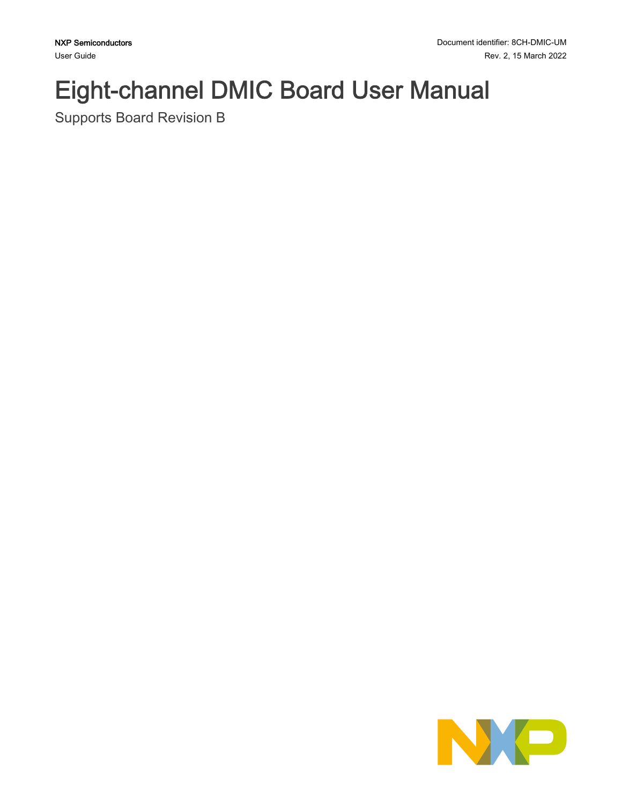# Eight-channel DMIC Board User Manual

Supports Board Revision B

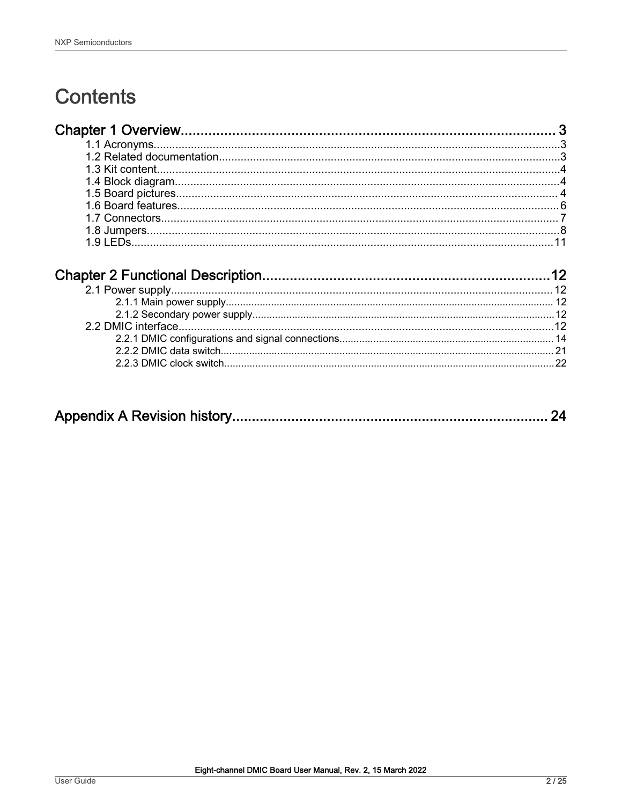# **Contents**

|--|--|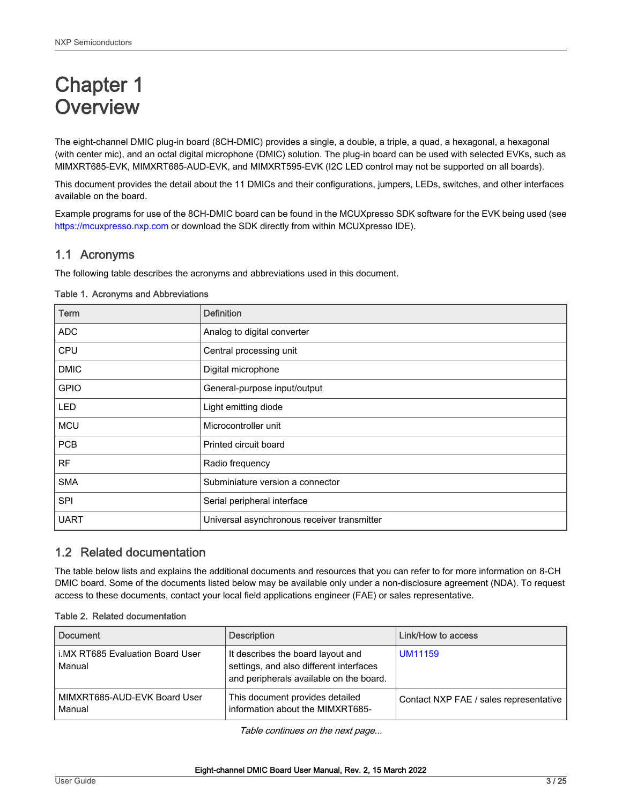# <span id="page-2-0"></span>Chapter 1 **Overview**

The eight-channel DMIC plug-in board (8CH-DMIC) provides a single, a double, a triple, a quad, a hexagonal, a hexagonal (with center mic), and an octal digital microphone (DMIC) solution. The plug-in board can be used with selected EVKs, such as MIMXRT685-EVK, MIMXRT685-AUD-EVK, and MIMXRT595-EVK (I2C LED control may not be supported on all boards).

This document provides the detail about the 11 DMICs and their configurations, jumpers, LEDs, switches, and other interfaces available on the board.

Example programs for use of the 8CH-DMIC board can be found in the MCUXpresso SDK software for the EVK being used (see <https://mcuxpresso.nxp.com> or download the SDK directly from within MCUXpresso IDE).

# 1.1 Acronyms

The following table describes the acronyms and abbreviations used in this document.

| Term        | <b>Definition</b>                           |
|-------------|---------------------------------------------|
| <b>ADC</b>  | Analog to digital converter                 |
| CPU         | Central processing unit                     |
| <b>DMIC</b> | Digital microphone                          |
| <b>GPIO</b> | General-purpose input/output                |
| <b>LED</b>  | Light emitting diode                        |
| <b>MCU</b>  | Microcontroller unit                        |
| <b>PCB</b>  | Printed circuit board                       |
| <b>RF</b>   | Radio frequency                             |
| <b>SMA</b>  | Subminiature version a connector            |
| <b>SPI</b>  | Serial peripheral interface                 |
| <b>UART</b> | Universal asynchronous receiver transmitter |

#### Table 1. Acronyms and Abbreviations

# 1.2 Related documentation

The table below lists and explains the additional documents and resources that you can refer to for more information on 8-CH DMIC board. Some of the documents listed below may be available only under a non-disclosure agreement (NDA). To request access to these documents, contact your local field applications engineer (FAE) or sales representative.

|  |  |  |  | Table 2. Related documentation |
|--|--|--|--|--------------------------------|
|--|--|--|--|--------------------------------|

| <b>Document</b>                            | <b>Description</b>                                                                                                      | Link/How to access                     |
|--------------------------------------------|-------------------------------------------------------------------------------------------------------------------------|----------------------------------------|
| i.MX RT685 Evaluation Board User<br>Manual | It describes the board layout and<br>settings, and also different interfaces<br>and peripherals available on the board. | <b>UM11159</b>                         |
| MIMXRT685-AUD-EVK Board User<br>Manual     | This document provides detailed<br>information about the MIMXRT685-                                                     | Contact NXP FAE / sales representative |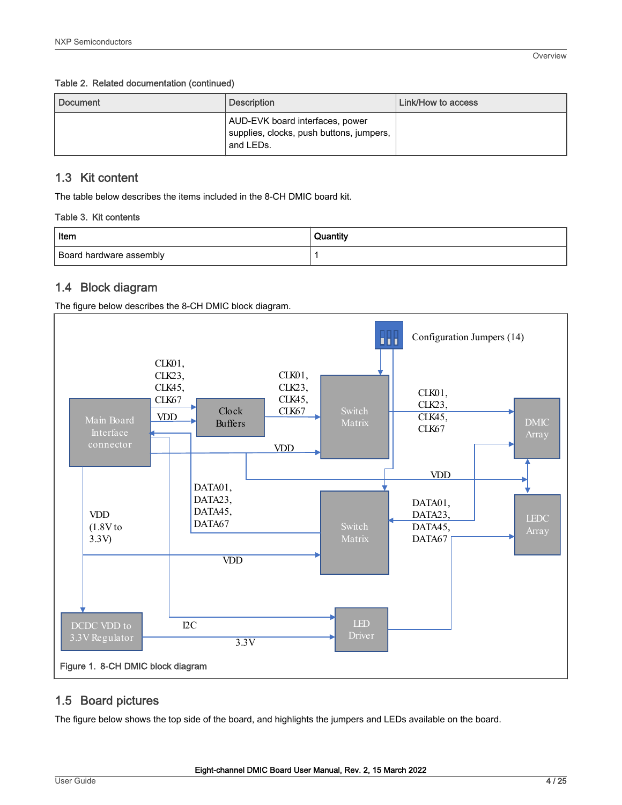#### <span id="page-3-0"></span>Table 2. Related documentation (continued)

| Document | <b>Description</b>                                                                       | Link/How to access |
|----------|------------------------------------------------------------------------------------------|--------------------|
|          | AUD-EVK board interfaces, power<br>supplies, clocks, push buttons, jumpers,<br>and LEDs. |                    |

# 1.3 Kit content

The table below describes the items included in the 8-CH DMIC board kit.

#### Table 3. Kit contents

| Item                    | Quantity |
|-------------------------|----------|
| Board hardware assembly |          |

# 1.4 Block diagram

The figure below describes the 8-CH DMIC block diagram.



# 1.5 Board pictures

The figure below shows the top side of the board, and highlights the jumpers and LEDs available on the board.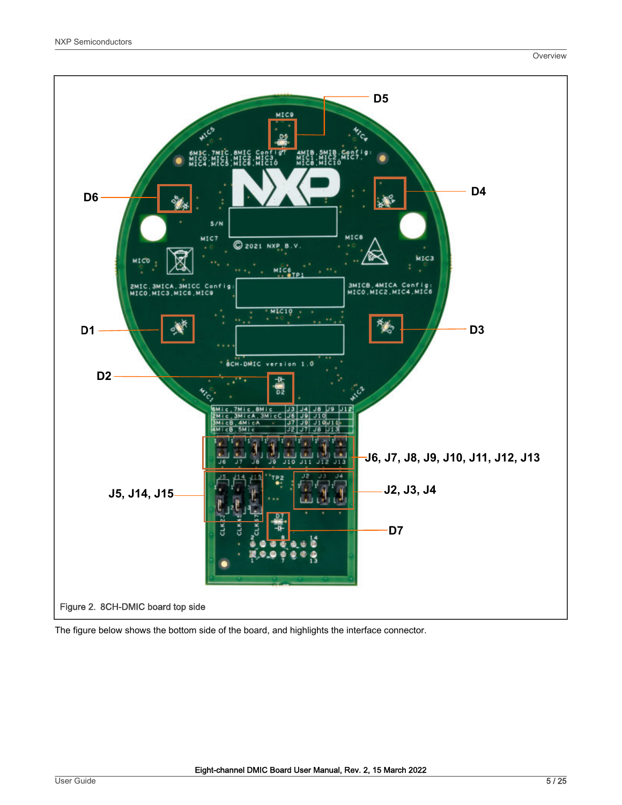

The figure below shows the bottom side of the board, and highlights the interface connector.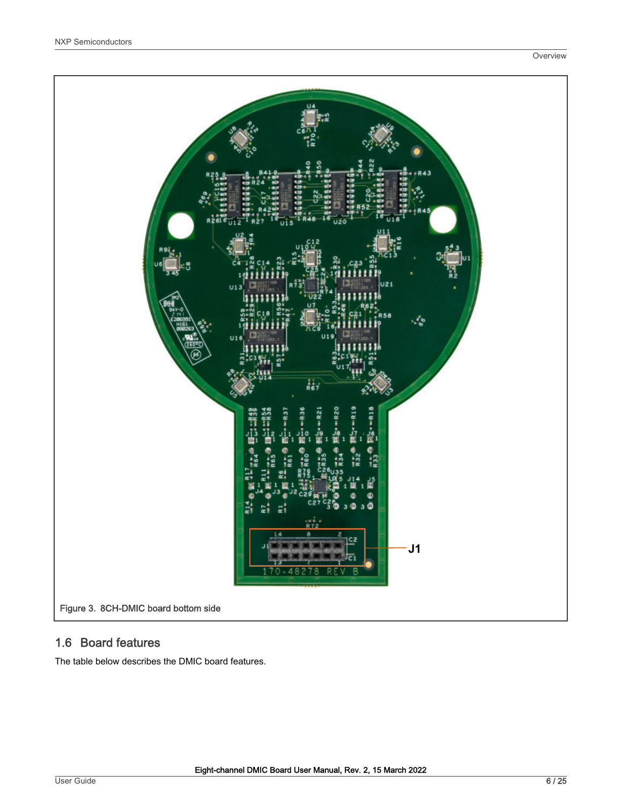<span id="page-5-0"></span>

# 1.6 Board features

The table below describes the DMIC board features.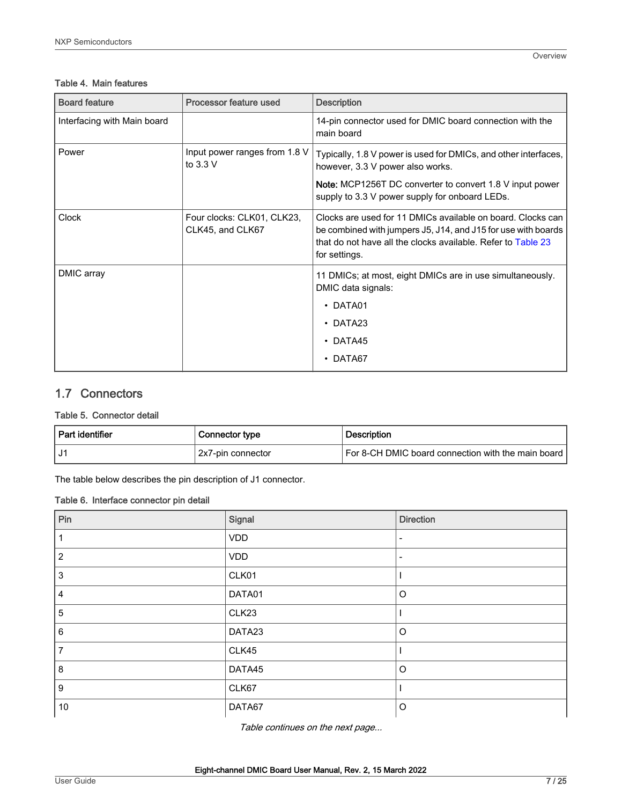#### <span id="page-6-0"></span>Table 4. Main features

| <b>Board feature</b>        | Processor feature used                         | <b>Description</b>                                                                                                                                                                                                       |
|-----------------------------|------------------------------------------------|--------------------------------------------------------------------------------------------------------------------------------------------------------------------------------------------------------------------------|
| Interfacing with Main board |                                                | 14-pin connector used for DMIC board connection with the<br>main board                                                                                                                                                   |
| Power                       | Input power ranges from 1.8 V<br>to $3.3$ V    | Typically, 1.8 V power is used for DMICs, and other interfaces,<br>however, 3.3 V power also works.<br><b>Note:</b> MCP1256T DC converter to convert 1.8 V input power<br>supply to 3.3 V power supply for onboard LEDs. |
| <b>Clock</b>                | Four clocks: CLK01, CLK23,<br>CLK45, and CLK67 | Clocks are used for 11 DMICs available on board. Clocks can<br>be combined with jumpers J5, J14, and J15 for use with boards<br>that do not have all the clocks available. Refer to Table 23<br>for settings.            |
| DMIC array                  |                                                | 11 DMICs; at most, eight DMICs are in use simultaneously.<br>DMIC data signals:<br>$\cdot$ DATA01<br>$\cdot$ DATA23<br>$\cdot$ DATA45<br>DATA67                                                                          |

# 1.7 Connectors

#### Table 5. Connector detail

| ! Part identifier | Connector type    | <b>Description</b>                                   |
|-------------------|-------------------|------------------------------------------------------|
|                   | 2x7-pin connector | For 8-CH DMIC board connection with the main board I |

The table below describes the pin description of J1 connector.

#### Table 6. Interface connector pin detail

| Pin            | Signal     | <b>Direction</b>         |
|----------------|------------|--------------------------|
|                | <b>VDD</b> | $\overline{\phantom{a}}$ |
| $\overline{2}$ | <b>VDD</b> | $\overline{\phantom{a}}$ |
| $\sqrt{3}$     | CLK01      |                          |
| $\overline{4}$ | DATA01     | $\circ$                  |
| $\sqrt{5}$     | CLK23      |                          |
| 6              | DATA23     | $\circ$                  |
| $\overline{7}$ | CLK45      |                          |
| 8              | DATA45     | $\circ$                  |
| 9              | CLK67      |                          |
| 10             | DATA67     | $\circ$                  |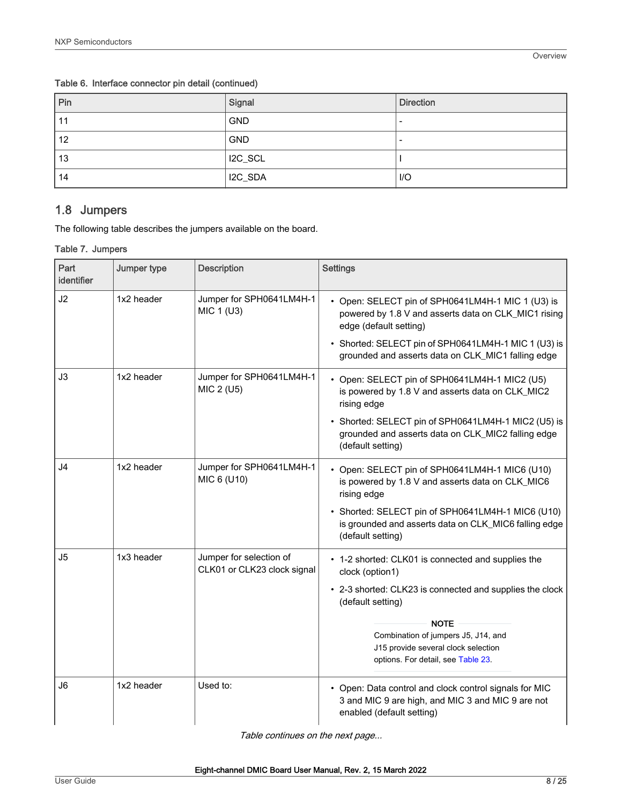| $ P$ in | Signal     | <b>Direction</b>         |
|---------|------------|--------------------------|
| 11      | <b>GND</b> | $\overline{\phantom{0}}$ |
| 12      | <b>GND</b> | -                        |
| 13      | I2C_SCL    |                          |
| 14      | I2C_SDA    | 1/O                      |

<span id="page-7-0"></span>Table 6. Interface connector pin detail (continued)

# 1.8 Jumpers

The following table describes the jumpers available on the board.

#### Table 7. Jumpers

| Part<br>identifier | Jumper type | <b>Description</b>                                     | <b>Settings</b>                                                                                                                          |
|--------------------|-------------|--------------------------------------------------------|------------------------------------------------------------------------------------------------------------------------------------------|
| J2                 | 1x2 header  | Jumper for SPH0641LM4H-1<br>MIC 1 (U3)                 | • Open: SELECT pin of SPH0641LM4H-1 MIC 1 (U3) is<br>powered by 1.8 V and asserts data on CLK_MIC1 rising<br>edge (default setting)      |
|                    |             |                                                        | • Shorted: SELECT pin of SPH0641LM4H-1 MIC 1 (U3) is<br>grounded and asserts data on CLK_MIC1 falling edge                               |
| J3                 | 1x2 header  | Jumper for SPH0641LM4H-1<br>MIC 2 (U5)                 | • Open: SELECT pin of SPH0641LM4H-1 MIC2 (U5)<br>is powered by 1.8 V and asserts data on CLK_MIC2<br>rising edge                         |
|                    |             |                                                        | • Shorted: SELECT pin of SPH0641LM4H-1 MIC2 (U5) is<br>grounded and asserts data on CLK_MIC2 falling edge<br>(default setting)           |
| J <sub>4</sub>     | 1x2 header  | Jumper for SPH0641LM4H-1<br>MIC 6 (U10)                | • Open: SELECT pin of SPH0641LM4H-1 MIC6 (U10)<br>is powered by 1.8 V and asserts data on CLK_MIC6<br>rising edge                        |
|                    |             |                                                        | • Shorted: SELECT pin of SPH0641LM4H-1 MIC6 (U10)<br>is grounded and asserts data on CLK_MIC6 falling edge<br>(default setting)          |
| J <sub>5</sub>     | 1x3 header  | Jumper for selection of<br>CLK01 or CLK23 clock signal | • 1-2 shorted: CLK01 is connected and supplies the<br>clock (option1)                                                                    |
|                    |             |                                                        | • 2-3 shorted: CLK23 is connected and supplies the clock<br>(default setting)                                                            |
|                    |             |                                                        | <b>NOTE</b><br>Combination of jumpers J5, J14, and<br>J15 provide several clock selection<br>options. For detail, see Table 23.          |
| J6                 | 1x2 header  | Used to:                                               | • Open: Data control and clock control signals for MIC<br>3 and MIC 9 are high, and MIC 3 and MIC 9 are not<br>enabled (default setting) |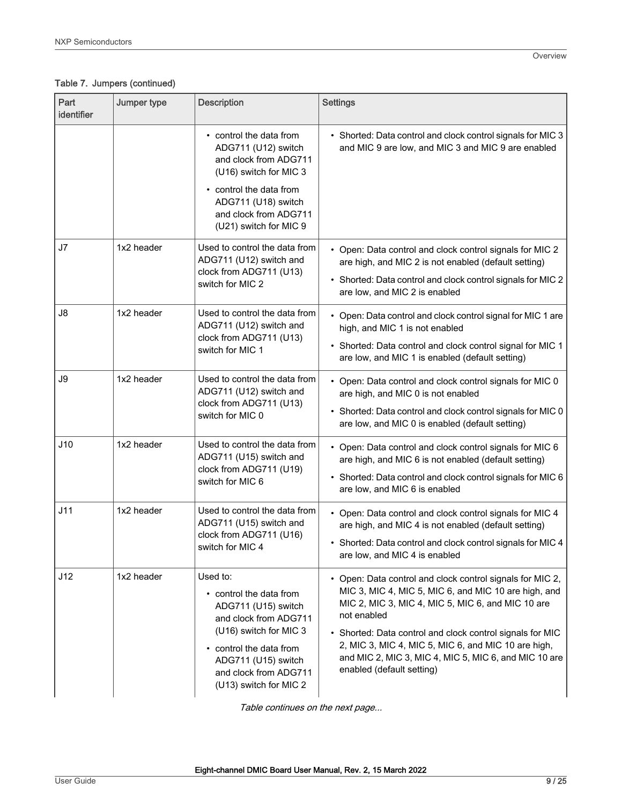# Table 7. Jumpers (continued)

| Part<br>identifier | Jumper type | <b>Description</b>                                                                                                                                                                                                 | <b>Settings</b>                                                                                                                                                                                                                                                                                                                                                                                 |
|--------------------|-------------|--------------------------------------------------------------------------------------------------------------------------------------------------------------------------------------------------------------------|-------------------------------------------------------------------------------------------------------------------------------------------------------------------------------------------------------------------------------------------------------------------------------------------------------------------------------------------------------------------------------------------------|
|                    |             | • control the data from<br>ADG711 (U12) switch<br>and clock from ADG711<br>(U16) switch for MIC 3<br>• control the data from<br>ADG711 (U18) switch<br>and clock from ADG711<br>(U21) switch for MIC 9             | • Shorted: Data control and clock control signals for MIC 3<br>and MIC 9 are low, and MIC 3 and MIC 9 are enabled                                                                                                                                                                                                                                                                               |
| J7                 | 1x2 header  | Used to control the data from<br>ADG711 (U12) switch and<br>clock from ADG711 (U13)<br>switch for MIC 2                                                                                                            | • Open: Data control and clock control signals for MIC 2<br>are high, and MIC 2 is not enabled (default setting)<br>• Shorted: Data control and clock control signals for MIC 2<br>are low, and MIC 2 is enabled                                                                                                                                                                                |
| J8                 | 1x2 header  | Used to control the data from<br>ADG711 (U12) switch and<br>clock from ADG711 (U13)<br>switch for MIC 1                                                                                                            | • Open: Data control and clock control signal for MIC 1 are<br>high, and MIC 1 is not enabled<br>• Shorted: Data control and clock control signal for MIC 1<br>are low, and MIC 1 is enabled (default setting)                                                                                                                                                                                  |
| J9                 | 1x2 header  | Used to control the data from<br>ADG711 (U12) switch and<br>clock from ADG711 (U13)<br>switch for MIC 0                                                                                                            | • Open: Data control and clock control signals for MIC 0<br>are high, and MIC 0 is not enabled<br>• Shorted: Data control and clock control signals for MIC 0<br>are low, and MIC 0 is enabled (default setting)                                                                                                                                                                                |
| J10                | 1x2 header  | Used to control the data from<br>ADG711 (U15) switch and<br>clock from ADG711 (U19)<br>switch for MIC 6                                                                                                            | • Open: Data control and clock control signals for MIC 6<br>are high, and MIC 6 is not enabled (default setting)<br>• Shorted: Data control and clock control signals for MIC 6<br>are low, and MIC 6 is enabled                                                                                                                                                                                |
| J11                | 1x2 header  | Used to control the data from<br>ADG711 (U15) switch and<br>clock from ADG711 (U16)<br>switch for MIC 4                                                                                                            | • Open: Data control and clock control signals for MIC 4<br>are high, and MIC 4 is not enabled (default setting)<br>• Shorted: Data control and clock control signals for MIC 4<br>are low, and MIC 4 is enabled                                                                                                                                                                                |
| J12                | 1x2 header  | Used to:<br>• control the data from<br>ADG711 (U15) switch<br>and clock from ADG711<br>(U16) switch for MIC 3<br>• control the data from<br>ADG711 (U15) switch<br>and clock from ADG711<br>(U13) switch for MIC 2 | • Open: Data control and clock control signals for MIC 2,<br>MIC 3, MIC 4, MIC 5, MIC 6, and MIC 10 are high, and<br>MIC 2, MIC 3, MIC 4, MIC 5, MIC 6, and MIC 10 are<br>not enabled<br>• Shorted: Data control and clock control signals for MIC<br>2, MIC 3, MIC 4, MIC 5, MIC 6, and MIC 10 are high,<br>and MIC 2, MIC 3, MIC 4, MIC 5, MIC 6, and MIC 10 are<br>enabled (default setting) |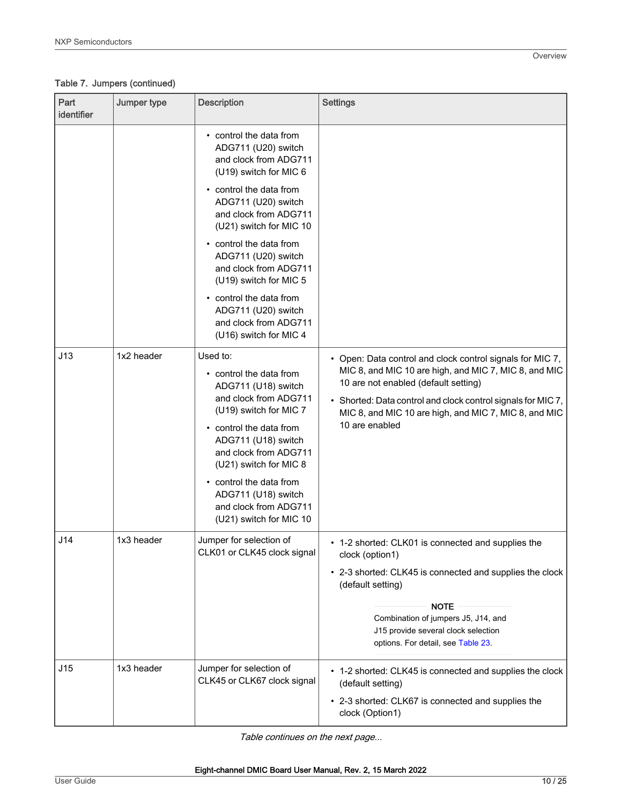# Table 7. Jumpers (continued)

| Part<br>identifier | Jumper type | <b>Description</b>                                                                                                                                                                                                                                                                                                                      | <b>Settings</b>                                                                                                                                                                                                                                                                                       |
|--------------------|-------------|-----------------------------------------------------------------------------------------------------------------------------------------------------------------------------------------------------------------------------------------------------------------------------------------------------------------------------------------|-------------------------------------------------------------------------------------------------------------------------------------------------------------------------------------------------------------------------------------------------------------------------------------------------------|
|                    |             | • control the data from<br>ADG711 (U20) switch<br>and clock from ADG711<br>(U19) switch for MIC 6<br>• control the data from<br>ADG711 (U20) switch<br>and clock from ADG711<br>(U21) switch for MIC 10<br>• control the data from<br>ADG711 (U20) switch<br>and clock from ADG711<br>(U19) switch for MIC 5<br>• control the data from |                                                                                                                                                                                                                                                                                                       |
|                    |             | ADG711 (U20) switch<br>and clock from ADG711<br>(U16) switch for MIC 4                                                                                                                                                                                                                                                                  |                                                                                                                                                                                                                                                                                                       |
| J13                | 1x2 header  | Used to:<br>• control the data from<br>ADG711 (U18) switch<br>and clock from ADG711<br>(U19) switch for MIC 7<br>• control the data from<br>ADG711 (U18) switch<br>and clock from ADG711<br>(U21) switch for MIC 8<br>• control the data from<br>ADG711 (U18) switch<br>and clock from ADG711<br>(U21) switch for MIC 10                | • Open: Data control and clock control signals for MIC 7,<br>MIC 8, and MIC 10 are high, and MIC 7, MIC 8, and MIC<br>10 are not enabled (default setting)<br>• Shorted: Data control and clock control signals for MIC 7,<br>MIC 8, and MIC 10 are high, and MIC 7, MIC 8, and MIC<br>10 are enabled |
| J14                | 1x3 header  | Jumper for selection of<br>CLK01 or CLK45 clock signal                                                                                                                                                                                                                                                                                  | • 1-2 shorted: CLK01 is connected and supplies the<br>clock (option1)<br>• 2-3 shorted: CLK45 is connected and supplies the clock<br>(default setting)<br><b>NOTE</b><br>Combination of jumpers J5, J14, and<br>J15 provide several clock selection<br>options. For detail, see Table 23.             |
| J15                | 1x3 header  | Jumper for selection of<br>CLK45 or CLK67 clock signal                                                                                                                                                                                                                                                                                  | • 1-2 shorted: CLK45 is connected and supplies the clock<br>(default setting)<br>• 2-3 shorted: CLK67 is connected and supplies the<br>clock (Option1)                                                                                                                                                |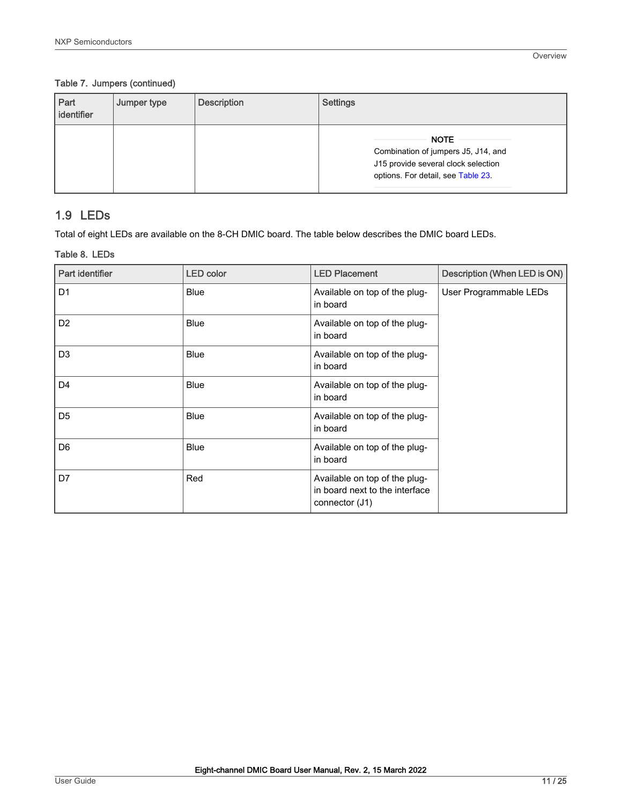#### <span id="page-10-0"></span>Table 7. Jumpers (continued)

| Part<br>identifier | Jumper type | <b>Description</b> | Settings                                                                                                                        |
|--------------------|-------------|--------------------|---------------------------------------------------------------------------------------------------------------------------------|
|                    |             |                    | <b>NOTE</b><br>Combination of jumpers J5, J14, and<br>J15 provide several clock selection<br>options. For detail, see Table 23. |

# 1.9 LEDs

Total of eight LEDs are available on the 8-CH DMIC board. The table below describes the DMIC board LEDs.

#### Table 8. LEDs

| Part identifier | <b>LED color</b> | <b>LED Placement</b>                                                              | Description (When LED is ON) |
|-----------------|------------------|-----------------------------------------------------------------------------------|------------------------------|
| D <sub>1</sub>  | <b>Blue</b>      | Available on top of the plug-<br>in board                                         | User Programmable LEDs       |
| D <sub>2</sub>  | Blue             | Available on top of the plug-<br>in board                                         |                              |
| D <sub>3</sub>  | <b>Blue</b>      | Available on top of the plug-<br>in board                                         |                              |
| D <sub>4</sub>  | <b>Blue</b>      | Available on top of the plug-<br>in board                                         |                              |
| D <sub>5</sub>  | Blue             | Available on top of the plug-<br>in board                                         |                              |
| D <sub>6</sub>  | <b>Blue</b>      | Available on top of the plug-<br>in board                                         |                              |
| D7              | Red              | Available on top of the plug-<br>in board next to the interface<br>connector (J1) |                              |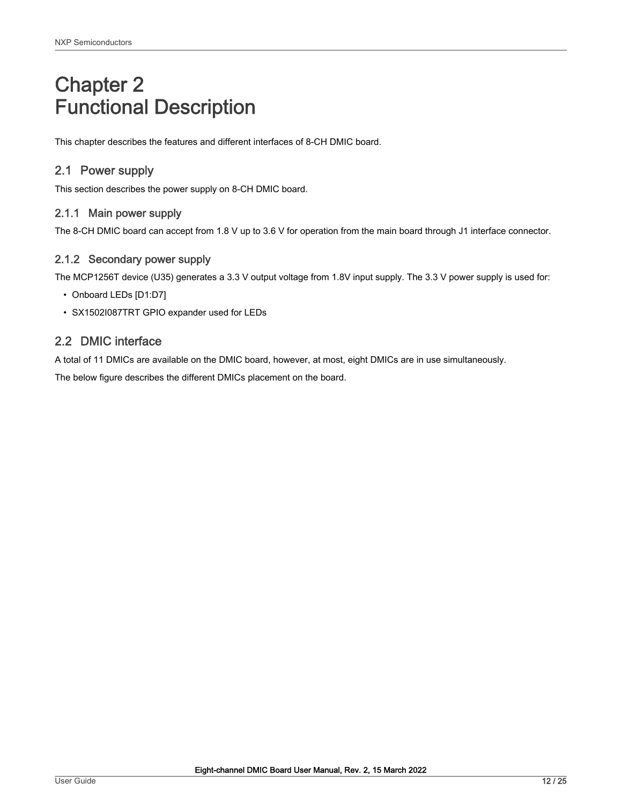# <span id="page-11-0"></span>Chapter 2 Functional Description

This chapter describes the features and different interfaces of 8-CH DMIC board.

# 2.1 Power supply

This section describes the power supply on 8-CH DMIC board.

### 2.1.1 Main power supply

The 8-CH DMIC board can accept from 1.8 V up to 3.6 V for operation from the main board through J1 interface connector.

### 2.1.2 Secondary power supply

The MCP1256T device (U35) generates a 3.3 V output voltage from 1.8V input supply. The 3.3 V power supply is used for:

- Onboard LEDs [D1:D7]
- SX1502I087TRT GPIO expander used for LEDs

# 2.2 DMIC interface

A total of 11 DMICs are available on the DMIC board, however, at most, eight DMICs are in use simultaneously.

The below figure describes the different DMICs placement on the board.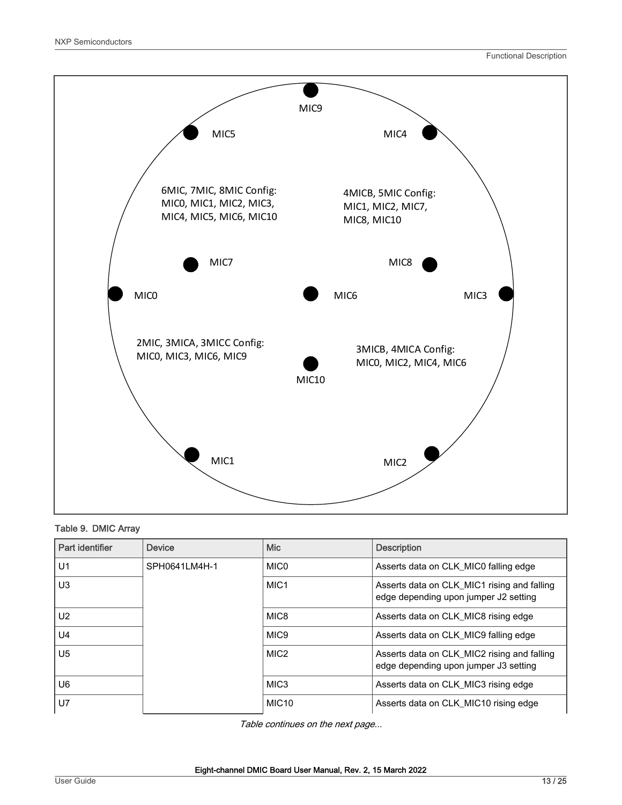

#### Table 9. DMIC Array

| Part identifier | Device        | <b>Mic</b>        | <b>Description</b>                                                                   |
|-----------------|---------------|-------------------|--------------------------------------------------------------------------------------|
| U1              | SPH0641LM4H-1 | MIC <sub>0</sub>  | Asserts data on CLK_MIC0 falling edge                                                |
| U <sub>3</sub>  |               | MIC <sub>1</sub>  | Asserts data on CLK_MIC1 rising and falling<br>edge depending upon jumper J2 setting |
| U <sub>2</sub>  |               | MIC8              | Asserts data on CLK MIC8 rising edge                                                 |
| U <sub>4</sub>  |               | MIC <sub>9</sub>  | Asserts data on CLK MIC9 falling edge                                                |
| U <sub>5</sub>  |               | MIC <sub>2</sub>  | Asserts data on CLK_MIC2 rising and falling<br>edge depending upon jumper J3 setting |
| U6              |               | MIC <sub>3</sub>  | Asserts data on CLK MIC3 rising edge                                                 |
| U7              |               | MIC <sub>10</sub> | Asserts data on CLK_MIC10 rising edge                                                |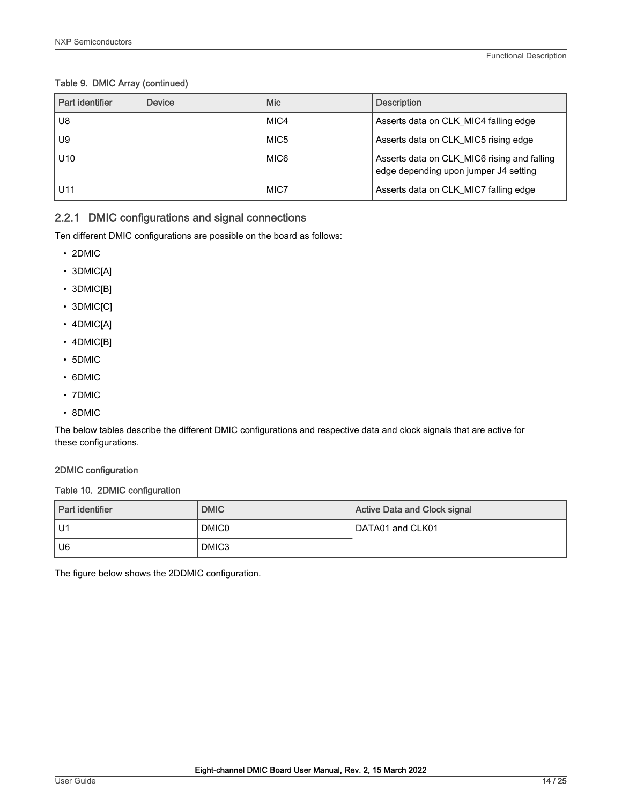#### <span id="page-13-0"></span>Table 9. DMIC Array (continued)

| Part identifier | Device | <b>Mic</b>       | <b>Description</b>                                                                   |
|-----------------|--------|------------------|--------------------------------------------------------------------------------------|
| U8              |        | MIC4             | Asserts data on CLK_MIC4 falling edge                                                |
| U9              |        | MIC <sub>5</sub> | Asserts data on CLK_MIC5 rising edge                                                 |
| U <sub>10</sub> |        | MIC6             | Asserts data on CLK_MIC6 rising and falling<br>edge depending upon jumper J4 setting |
| U <sub>11</sub> |        | MIC7             | Asserts data on CLK_MIC7 falling edge                                                |

### 2.2.1 DMIC configurations and signal connections

Ten different DMIC configurations are possible on the board as follows:

- 2DMIC
- 3DMIC[A]
- 3DMIC[B]
- 3DMIC[C]
- 4DMIC[A]
- 4DMIC[B]
- 5DMIC
- 6DMIC
- 7DMIC
- 8DMIC

The below tables describe the different DMIC configurations and respective data and clock signals that are active for these configurations.

#### 2DMIC configuration

#### Table 10. 2DMIC configuration

| Part identifier | <b>DMIC</b>  | Active Data and Clock signal |
|-----------------|--------------|------------------------------|
| l U1            | <b>DMIC0</b> | DATA01 and CLK01             |
| U <sub>6</sub>  | DMIC3        |                              |

The figure below shows the 2DDMIC configuration.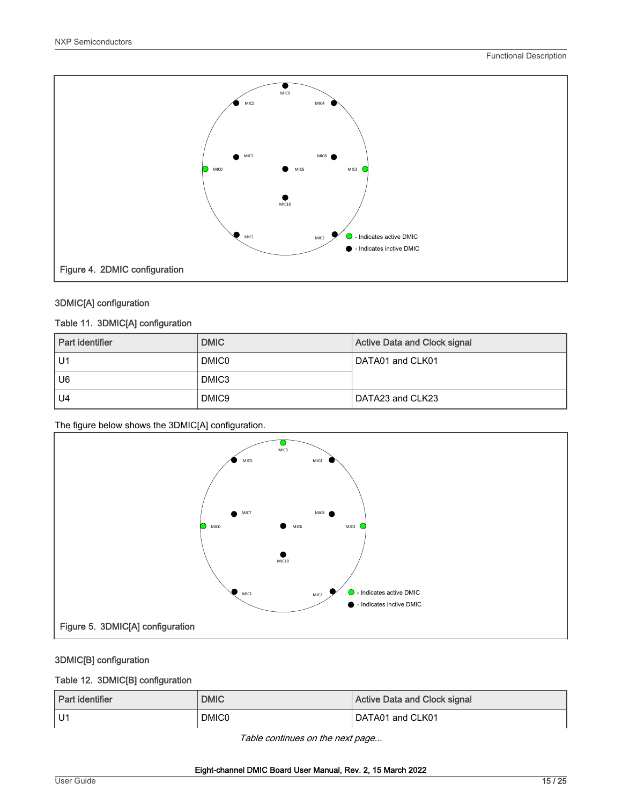

#### 3DMIC[A] configuration

#### Table 11. 3DMIC[A] configuration

| Part identifier | <b>DMIC</b>       | <b>Active Data and Clock signal</b> |
|-----------------|-------------------|-------------------------------------|
| U1              | <b>DMIC0</b>      | DATA01 and CLK01                    |
| U6              | DMIC <sub>3</sub> |                                     |
| U <sub>4</sub>  | DMIC <sub>9</sub> | DATA23 and CLK23                    |

The figure below shows the 3DMIC[A] configuration.



### 3DMIC[B] configuration

#### Table 12. 3DMIC[B] configuration

| Part identifier | <b>DMIC</b>  | Active Data and Clock signal |
|-----------------|--------------|------------------------------|
| l U1            | <b>DMIC0</b> | DATA01 and CLK01             |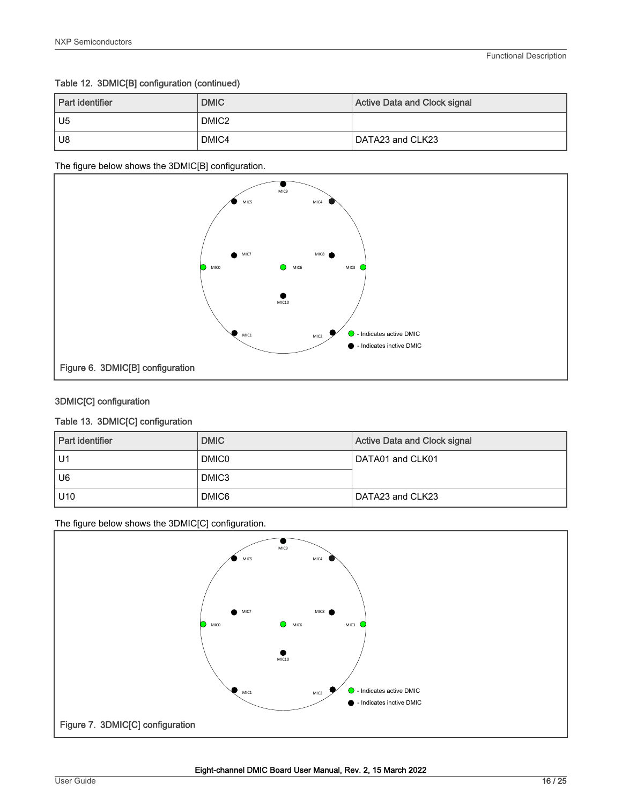#### Table 12. 3DMIC[B] configuration (continued)

| Part identifier | <b>DMIC</b>       | Active Data and Clock signal |
|-----------------|-------------------|------------------------------|
| l U5            | DMIC <sub>2</sub> |                              |
| U8              | DMIC4             | DATA23 and CLK23             |

The figure below shows the 3DMIC[B] configuration.



#### 3DMIC[C] configuration

#### Table 13. 3DMIC[C] configuration

| Part identifier | <b>DMIC</b>       | Active Data and Clock signal |
|-----------------|-------------------|------------------------------|
| U1              | <b>DMIC0</b>      | DATA01 and CLK01             |
| U <sub>6</sub>  | DMIC <sub>3</sub> |                              |
| U <sub>10</sub> | DMIC6             | DATA23 and CLK23             |

The figure below shows the 3DMIC[C] configuration.

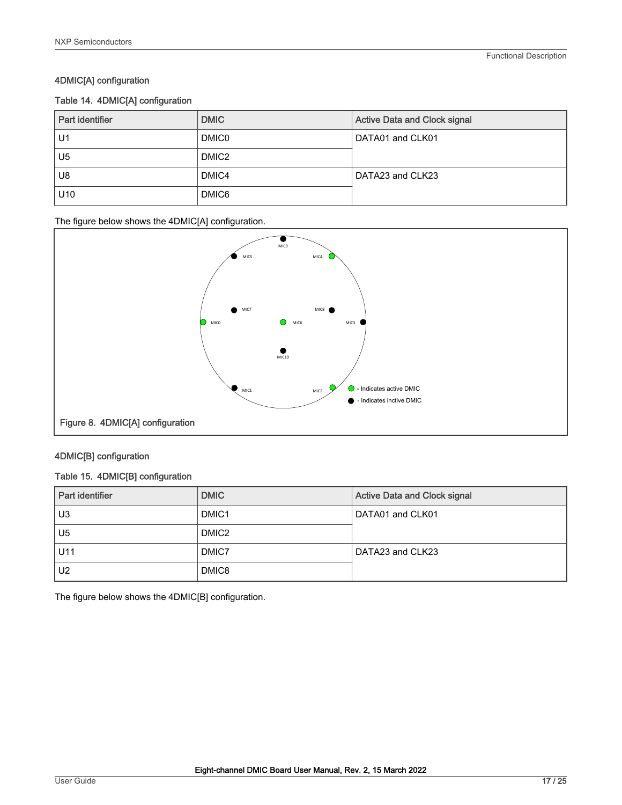#### 4DMIC[A] configuration

#### Table 14. 4DMIC[A] configuration

| Part identifier | <b>DMIC</b>       | <b>Active Data and Clock signal</b> |
|-----------------|-------------------|-------------------------------------|
| U1              | <b>DMIC0</b>      | DATA01 and CLK01                    |
| U <sub>5</sub>  | DMIC <sub>2</sub> |                                     |
| U <sub>8</sub>  | DMIC4             | DATA23 and CLK23                    |
| U <sub>10</sub> | DMIC6             |                                     |

The figure below shows the 4DMIC[A] configuration.



#### 4DMIC[B] configuration

#### Table 15. 4DMIC[B] configuration

| Part identifier | <b>DMIC</b>       | <b>Active Data and Clock signal</b> |
|-----------------|-------------------|-------------------------------------|
| U3              | DMIC <sub>1</sub> | DATA01 and CLK01                    |
| U5              | DMIC <sub>2</sub> |                                     |
| U11             | DMIC7             | DATA23 and CLK23                    |
| U <sub>2</sub>  | DMIC8             |                                     |

The figure below shows the 4DMIC[B] configuration.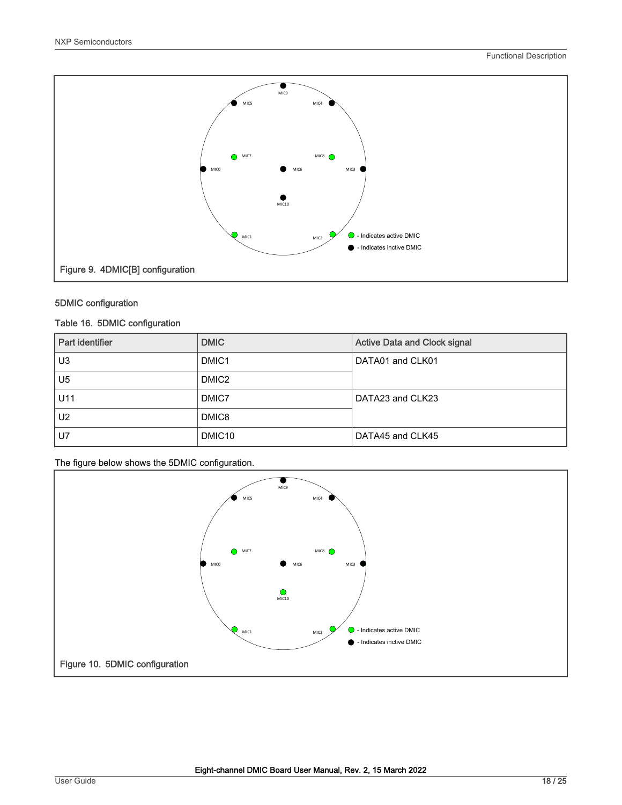

#### 5DMIC configuration

#### Table 16. 5DMIC configuration

| Part identifier | <b>DMIC</b>        | <b>Active Data and Clock signal</b> |
|-----------------|--------------------|-------------------------------------|
| U <sub>3</sub>  | DMIC <sub>1</sub>  | DATA01 and CLK01                    |
| U <sub>5</sub>  | DMIC <sub>2</sub>  |                                     |
| U11             | DMIC7              | DATA23 and CLK23                    |
| U <sub>2</sub>  | DMIC8              |                                     |
| U7              | DMIC <sub>10</sub> | DATA45 and CLK45                    |

The figure below shows the 5DMIC configuration.

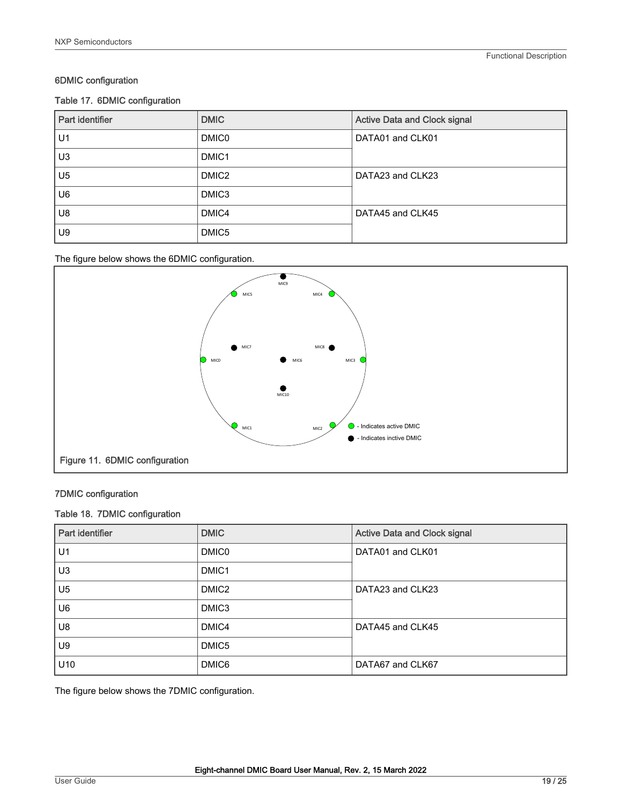#### 6DMIC configuration

#### Table 17. 6DMIC configuration

| Part identifier | <b>DMIC</b>       | <b>Active Data and Clock signal</b> |
|-----------------|-------------------|-------------------------------------|
| U <sub>1</sub>  | <b>DMIC0</b>      | DATA01 and CLK01                    |
| U <sub>3</sub>  | DMIC <sub>1</sub> |                                     |
| U <sub>5</sub>  | DMIC <sub>2</sub> | DATA23 and CLK23                    |
| U <sub>6</sub>  | DMIC <sub>3</sub> |                                     |
| U <sub>8</sub>  | DMIC4             | DATA45 and CLK45                    |
| U <sub>9</sub>  | DMIC5             |                                     |

#### The figure below shows the 6DMIC configuration.



#### 7DMIC configuration

#### Table 18. 7DMIC configuration

| Part identifier | <b>DMIC</b>       | <b>Active Data and Clock signal</b> |
|-----------------|-------------------|-------------------------------------|
| U1              | <b>DMICO</b>      | DATA01 and CLK01                    |
| U <sub>3</sub>  | DMIC <sub>1</sub> |                                     |
| U <sub>5</sub>  | DMIC <sub>2</sub> | DATA23 and CLK23                    |
| U <sub>6</sub>  | DMIC3             |                                     |
| U8              | DMIC4             | DATA45 and CLK45                    |
| U9              | DMIC5             |                                     |
| U10             | DMIC6             | DATA67 and CLK67                    |

The figure below shows the 7DMIC configuration.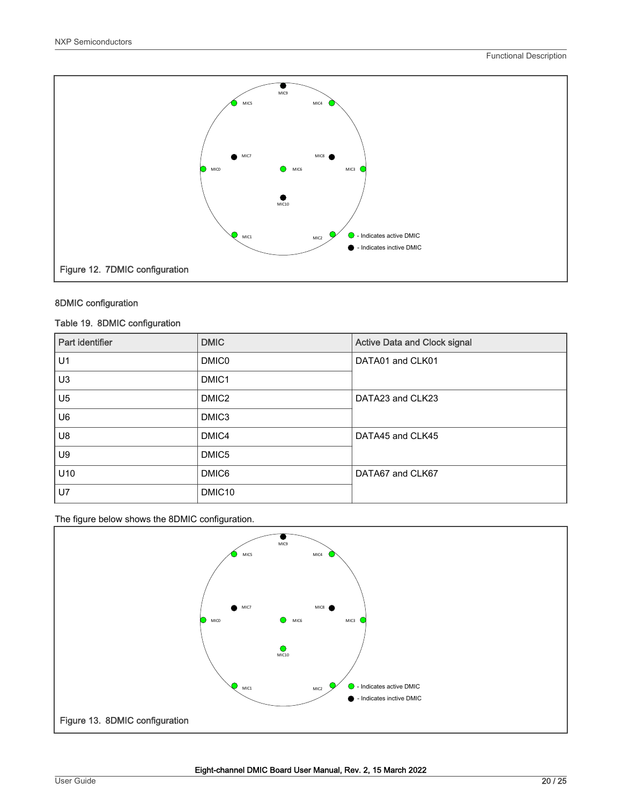

#### 8DMIC configuration

#### Table 19. 8DMIC configuration

| Part identifier | <b>DMIC</b>        | <b>Active Data and Clock signal</b> |
|-----------------|--------------------|-------------------------------------|
| U1              | <b>DMIC0</b>       | DATA01 and CLK01                    |
| U <sub>3</sub>  | DMIC <sub>1</sub>  |                                     |
| U <sub>5</sub>  | DMIC <sub>2</sub>  | DATA23 and CLK23                    |
| U <sub>6</sub>  | DMIC3              |                                     |
| U8              | DMIC4              | DATA45 and CLK45                    |
| U9              | DMIC5              |                                     |
| U10             | DMIC6              | DATA67 and CLK67                    |
| <b>U7</b>       | DMIC <sub>10</sub> |                                     |

The figure below shows the 8DMIC configuration.

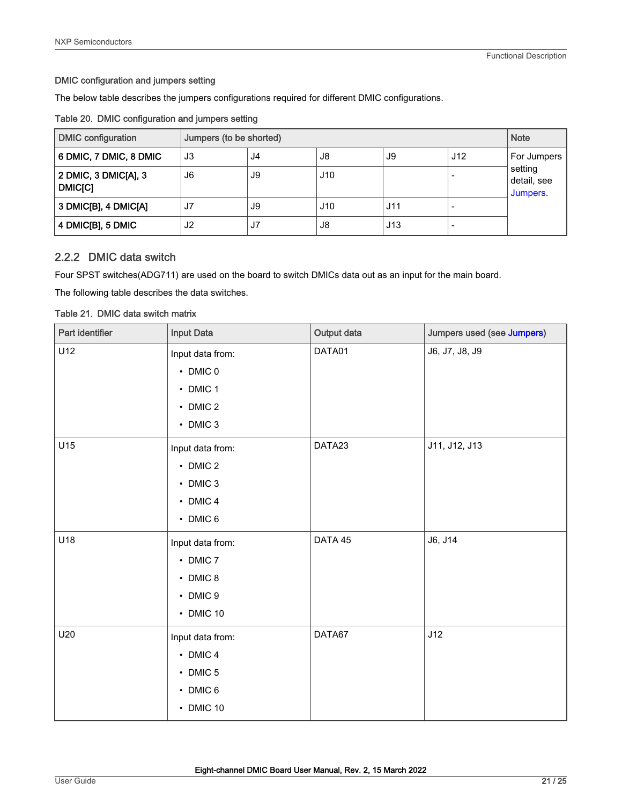#### <span id="page-20-0"></span>DMIC configuration and jumpers setting

The below table describes the jumpers configurations required for different DMIC configurations.

|  |  | Table 20. DMIC configuration and jumpers setting |  |  |  |
|--|--|--------------------------------------------------|--|--|--|
|--|--|--------------------------------------------------|--|--|--|

| <b>DMIC configuration</b>              | Jumpers (to be shorted) |    |     |     |     | <b>Note</b>                        |
|----------------------------------------|-------------------------|----|-----|-----|-----|------------------------------------|
| 6 DMIC, 7 DMIC, 8 DMIC                 | J3                      | J4 | J8  | J9  | J12 | For Jumpers                        |
| 2 DMIC, 3 DMIC[A], 3<br><b>DMIC[C]</b> | J6                      | J9 | J10 |     |     | setting<br>detail, see<br>Jumpers. |
| 3 DMIC[B], 4 DMIC[A]                   | J7                      | J9 | J10 | J11 |     |                                    |
| 4 DMIC[B], 5 DMIC                      | J <sub>2</sub>          | J7 | J8  | J13 |     |                                    |

### 2.2.2 DMIC data switch

Four SPST switches(ADG711) are used on the board to switch DMICs data out as an input for the main board.

The following table describes the data switches.

#### Table 21. DMIC data switch matrix

| Part identifier | <b>Input Data</b>                                                                        | Output data | Jumpers used (see Jumpers) |
|-----------------|------------------------------------------------------------------------------------------|-------------|----------------------------|
| U12             | Input data from:<br>$\cdot$ DMIC 0<br>$\cdot$ DMIC 1<br>$\cdot$ DMIC 2<br>$\cdot$ DMIC 3 | DATA01      | J6, J7, J8, J9             |
| U15             | Input data from:<br>$\cdot$ DMIC 2<br>$\cdot$ DMIC 3<br>$\cdot$ DMIC 4<br>• DMIC 6       | DATA23      | J11, J12, J13              |
| U18             | Input data from:<br>$\cdot$ DMIC 7<br>$\cdot$ DMIC 8<br>• DMIC 9<br>• DMIC 10            | DATA 45     | J6, J14                    |
| U20             | Input data from:<br>$\cdot$ DMIC 4<br>$\cdot$ DMIC 5<br>• DMIC 6<br>• DMIC 10            | DATA67      | J12                        |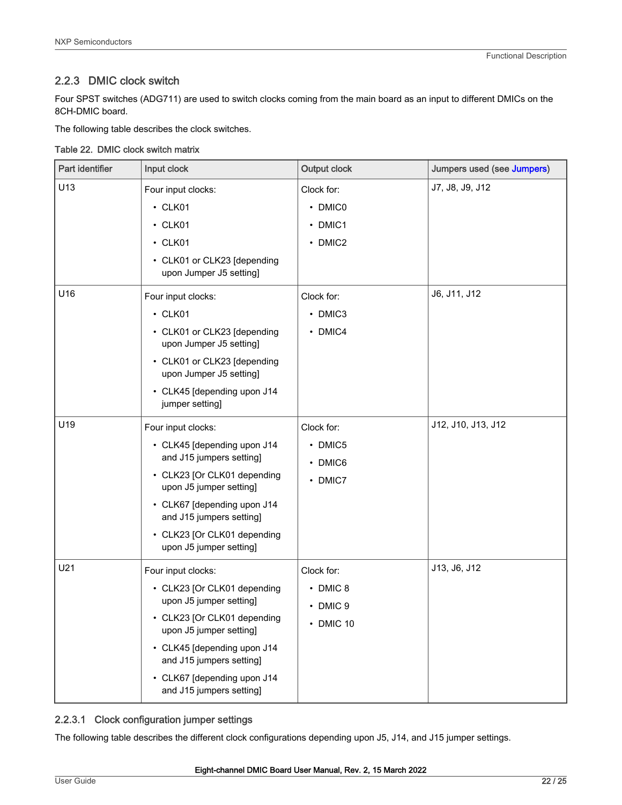# <span id="page-21-0"></span>2.2.3 DMIC clock switch

Four SPST switches (ADG711) are used to switch clocks coming from the main board as an input to different DMICs on the 8CH-DMIC board.

The following table describes the clock switches.

|  |  | Table 22. DMIC clock switch matrix |
|--|--|------------------------------------|
|  |  |                                    |

| Part identifier | Input clock                                                                                                                                                                                                                                                  | <b>Output clock</b>                                   | Jumpers used (see Jumpers) |
|-----------------|--------------------------------------------------------------------------------------------------------------------------------------------------------------------------------------------------------------------------------------------------------------|-------------------------------------------------------|----------------------------|
| U13             | Four input clocks:<br>$\cdot$ CLK01<br>$\cdot$ CLK01<br>$\cdot$ CLK01<br>• CLK01 or CLK23 [depending<br>upon Jumper J5 setting]                                                                                                                              | Clock for:<br>• DMIC0<br>• DMIC1<br>• DMIC2           | J7, J8, J9, J12            |
| U16             | Four input clocks:<br>$\cdot$ CLK01<br>• CLK01 or CLK23 [depending<br>upon Jumper J5 setting]<br>• CLK01 or CLK23 [depending<br>upon Jumper J5 setting]<br>• CLK45 [depending upon J14<br>jumper setting]                                                    | Clock for:<br>• DMIC3<br>• DMIC4                      | J6, J11, J12               |
| U19             | Four input clocks:<br>• CLK45 [depending upon J14<br>and J15 jumpers setting]<br>• CLK23 [Or CLK01 depending<br>upon J5 jumper setting]<br>• CLK67 [depending upon J14<br>and J15 jumpers setting]<br>• CLK23 [Or CLK01 depending<br>upon J5 jumper setting] | Clock for:<br>• DMIC5<br>• DMIC6<br>• DMIC7           | J12, J10, J13, J12         |
| U21             | Four input clocks:<br>• CLK23 [Or CLK01 depending<br>upon J5 jumper setting]<br>• CLK23 [Or CLK01 depending<br>upon J5 jumper setting]<br>• CLK45 [depending upon J14<br>and J15 jumpers setting]<br>• CLK67 [depending upon J14<br>and J15 jumpers setting] | Clock for:<br>$\cdot$ DMIC 8<br>• DMIC 9<br>• DMIC 10 | J13, J6, J12               |

#### 2.2.3.1 Clock configuration jumper settings

The following table describes the different clock configurations depending upon J5, J14, and J15 jumper settings.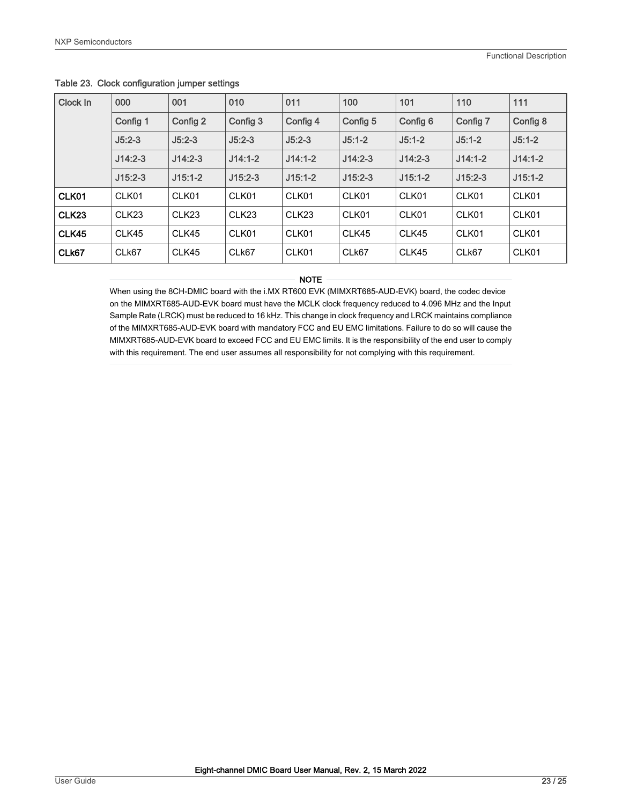| Clock In          | 000               | 001               | 010               | 011               | 100       | 101       | 110       | 111       |
|-------------------|-------------------|-------------------|-------------------|-------------------|-----------|-----------|-----------|-----------|
|                   | Config 1          | Config 2          | Config 3          | Config 4          | Config 5  | Config 6  | Config 7  | Config 8  |
|                   | $J5:2-3$          | $J5:2-3$          | $J5:2-3$          | $J5:2-3$          | $J5:1-2$  | $J5:1-2$  | $J5:1-2$  | $J5:1-2$  |
|                   | $J14:2-3$         | $J14:2-3$         | $J14:1-2$         | $J14:1-2$         | $J14:2-3$ | $J14:2-3$ | $J14:1-2$ | $J14:1-2$ |
|                   | $J15:2-3$         | $J15:1-2$         | $J15:2-3$         | $J15:1-2$         | $J15:2-3$ | $J15:1-2$ | $J15:2-3$ | $J15:1-2$ |
| CLK01             | CLK01             | CLK01             | CLK01             | CLK01             | CLK01     | CLK01     | CLK01     | CLK01     |
| CLK <sub>23</sub> | CLK <sub>23</sub> | CLK <sub>23</sub> | CLK <sub>23</sub> | CLK <sub>23</sub> | CLK01     | CLK01     | CLK01     | CLK01     |
| CLK45             | CLK45             | CLK45             | CLK01             | CLK01             | CLK45     | CLK45     | CLK01     | CLK01     |
| CLk67             | CLk67             | CLK45             | CLk67             | CLK01             | CLk67     | CLK45     | CLk67     | CLK01     |

#### <span id="page-22-0"></span>Table 23. Clock configuration jumper settings

#### NOTE

When using the 8CH-DMIC board with the i.MX RT600 EVK (MIMXRT685-AUD-EVK) board, the codec device on the MIMXRT685-AUD-EVK board must have the MCLK clock frequency reduced to 4.096 MHz and the Input Sample Rate (LRCK) must be reduced to 16 kHz. This change in clock frequency and LRCK maintains compliance of the MIMXRT685-AUD-EVK board with mandatory FCC and EU EMC limitations. Failure to do so will cause the MIMXRT685-AUD-EVK board to exceed FCC and EU EMC limits. It is the responsibility of the end user to comply with this requirement. The end user assumes all responsibility for not complying with this requirement.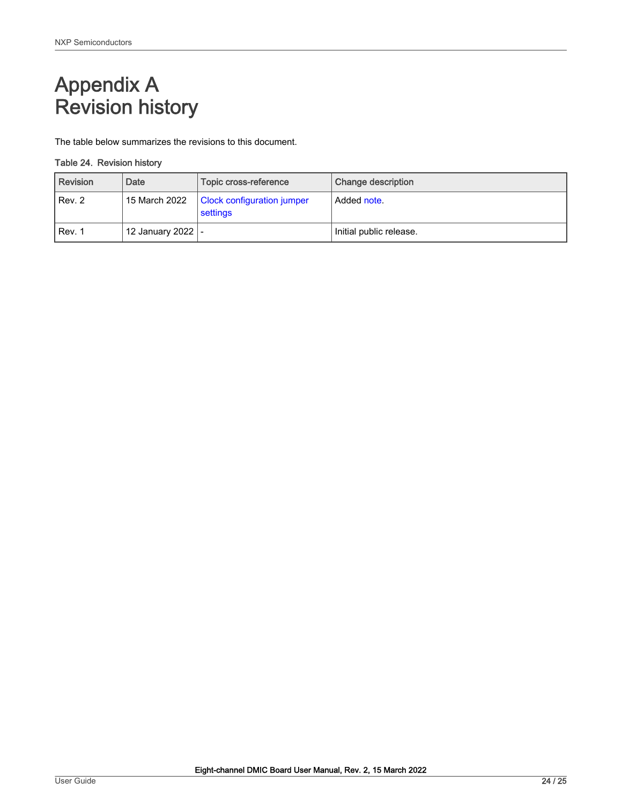# <span id="page-23-0"></span>Appendix A Revision history

The table below summarizes the revisions to this document.

#### Table 24. Revision history

| <b>Revision</b> | Date                | Topic cross-reference                         | Change description      |
|-----------------|---------------------|-----------------------------------------------|-------------------------|
| Rev. 2          | 15 March 2022       | <b>Clock configuration jumper</b><br>settings | Added note.             |
| Rev. 1          | 12 January 2022   - |                                               | Initial public release. |